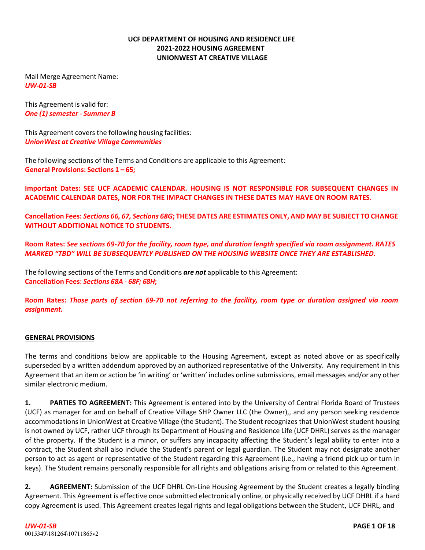#### **UCF DEPARTMENT OF HOUSING AND RESIDENCE LIFE 2021‐2022 HOUSING AGREEMENT UNIONWEST AT CREATIVE VILLAGE**

Mail Merge Agreement Name: *UW‐01‐SB*

This Agreement is valid for: *One (1) semester ‐ Summer B*

This Agreement covers the following housing facilities: *UnionWest at Creative Village Communities*

The following sections of the Terms and Conditions are applicable to this Agreement: **General Provisions: Sections 1 – 65;**

**Important Dates: SEE UCF ACADEMIC CALENDAR. HOUSING IS NOT RESPONSIBLE FOR SUBSEQUENT CHANGES IN ACADEMIC CALENDAR DATES, NOR FOR THE IMPACT CHANGES IN THESE DATES MAY HAVE ON ROOM RATES.**

**Cancellation Fees:** *Sections 66, 67, Sections 68G***; THESE DATES ARE ESTIMATES ONLY, AND MAY BE SUBJECT TO CHANGE WITHOUT ADDITIONAL NOTICE TO STUDENTS.**

**Room Rates:** *See sections 69‐70 for the facility, room type, and duration length specified via room assignment. RATES MARKED "TBD" WILL BE SUBSEQUENTLY PUBLISHED ON THE HOUSING WEBSITE ONCE THEY ARE ESTABLISHED.*

The following sections of the Terms and Conditions *are not* applicable to this Agreement: **Cancellation Fees:** *Sections 68A ‐ 68F; 68H***;**

**Room Rates:** *Those parts of section 69‐70 not referring to the facility, room type or duration assigned via room assignment.*

#### **GENERAL PROVISIONS**

The terms and conditions below are applicable to the Housing Agreement, except as noted above or as specifically superseded by a written addendum approved by an authorized representative of the University. Any requirement in this Agreement that an item or action be 'in writing' or 'written' includes online submissions, email messages and/or any other similar electronic medium.

**1. PARTIES TO AGREEMENT:** This Agreement is entered into by the University of Central Florida Board of Trustees (UCF) as manager for and on behalf of Creative Village SHP Owner LLC (the Owner),, and any person seeking residence accommodations in UnionWest at Creative Village (the Student). The Student recognizes that UnionWest student housing is not owned by UCF, rather UCF through its Department of Housing and Residence Life (UCF DHRL) serves as the manager of the property. If the Student is a minor, or suffers any incapacity affecting the Student's legal ability to enter into a contract, the Student shall also include the Student's parent or legal guardian. The Student may not designate another person to act as agent or representative of the Student regarding this Agreement (i.e., having a friend pick up or turn in keys). The Student remains personally responsible for all rights and obligations arising from or related to this Agreement.

**2. AGREEMENT:** Submission of the UCF DHRL On‐Line Housing Agreement by the Student creates a legally binding Agreement. This Agreement is effective once submitted electronically online, or physically received by UCF DHRL if a hard copy Agreement is used. This Agreement creates legal rights and legal obligations between the Student, UCF DHRL, and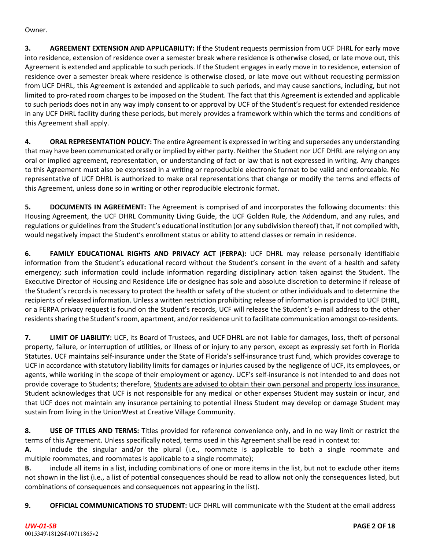Owner.

**3. AGREEMENT EXTENSION AND APPLICABILITY:** If the Student requests permission from UCF DHRL for early move into residence, extension of residence over a semester break where residence is otherwise closed, or late move out, this Agreement is extended and applicable to such periods. If the Student engages in early move in to residence, extension of residence over a semester break where residence is otherwise closed, or late move out without requesting permission from UCF DHRL, this Agreement is extended and applicable to such periods, and may cause sanctions, including, but not limited to pro-rated room charges to be imposed on the Student. The fact that this Agreement is extended and applicable to such periods does not in any way imply consent to or approval by UCF of the Student's request for extended residence in any UCF DHRL facility during these periods, but merely provides a framework within which the terms and conditions of this Agreement shall apply.

**4. ORAL REPRESENTATION POLICY:** The entire Agreement is expressed in writing and supersedes any understanding that may have been communicated orally or implied by either party. Neither the Student nor UCF DHRL are relying on any oral or implied agreement, representation, or understanding of fact or law that is not expressed in writing. Any changes to this Agreement must also be expressed in a writing or reproducible electronic format to be valid and enforceable. No representative of UCF DHRL is authorized to make oral representations that change or modify the terms and effects of this Agreement, unless done so in writing or other reproducible electronic format.

**5. DOCUMENTS IN AGREEMENT:** The Agreement is comprised of and incorporates the following documents: this Housing Agreement, the UCF DHRL Community Living Guide, the UCF Golden Rule, the Addendum, and any rules, and regulations or guidelines from the Student's educational institution (or any subdivision thereof) that, if not complied with, would negatively impact the Student's enrollment status or ability to attend classes or remain in residence.

**6. FAMILY EDUCATIONAL RIGHTS AND PRIVACY ACT (FERPA):** UCF DHRL may release personally identifiable information from the Student's educational record without the Student's consent in the event of a health and safety emergency; such information could include information regarding disciplinary action taken against the Student. The Executive Director of Housing and Residence Life or designee has sole and absolute discretion to determine if release of the Student's records is necessary to protect the health or safety of the student or other individuals and to determine the recipients of released information. Unless a written restriction prohibiting release of information is provided to UCF DHRL, or a FERPA privacy request is found on the Student's records, UCF will release the Student's e‐mail address to the other residents sharing the Student's room, apartment, and/or residence unit to facilitate communication amongst co-residents.

**7. LIMIT OF LIABILITY:** UCF, its Board of Trustees, and UCF DHRL are not liable for damages, loss, theft of personal property, failure, or interruption of utilities, or illness of or injury to any person, except as expressly set forth in Florida Statutes. UCF maintains self‐insurance under the State of Florida's self‐insurance trust fund, which provides coverage to UCF in accordance with statutory liability limits for damages or injuries caused by the negligence of UCF, its employees, or agents, while working in the scope of their employment or agency. UCF's self-insurance is not intended to and does not provide coverage to Students; therefore, Students are advised to obtain their own personal and property loss insurance. Student acknowledges that UCF is not responsible for any medical or other expenses Student may sustain or incur, and that UCF does not maintain any insurance pertaining to potential illness Student may develop or damage Student may sustain from living in the UnionWest at Creative Village Community.

**8. USE OF TITLES AND TERMS:** Titles provided for reference convenience only, and in no way limit or restrict the terms of this Agreement. Unless specifically noted, terms used in this Agreement shall be read in context to:

**A.** include the singular and/or the plural (i.e., roommate is applicable to both a single roommate and multiple roommates, and roommates is applicable to a single roommate);

**B.** include all items in a list, including combinations of one or more items in the list, but not to exclude other items not shown in the list (i.e., a list of potential consequences should be read to allow not only the consequences listed, but combinations of consequences and consequences not appearing in the list).

**9. OFFICIAL COMMUNICATIONS TO STUDENT:** UCF DHRL will communicate with the Student at the email address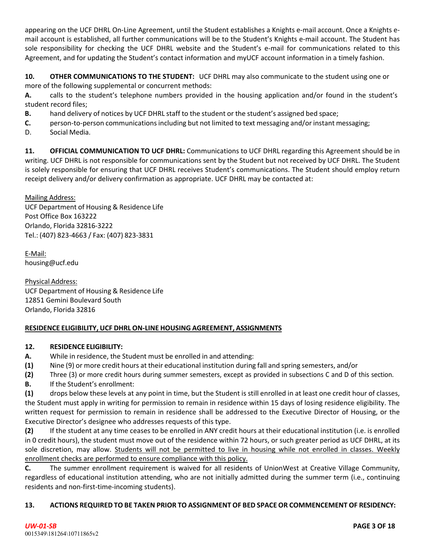appearing on the UCF DHRL On-Line Agreement, until the Student establishes a Knights e-mail account. Once a Knights email account is established, all further communications will be to the Student's Knights e‐mail account. The Student has sole responsibility for checking the UCF DHRL website and the Student's e-mail for communications related to this Agreement, and for updating the Student's contact information and myUCF account information in a timely fashion.

**10. OTHER COMMUNICATIONS TO THE STUDENT:** UCF DHRL may also communicate to the student using one or more of the following supplemental or concurrent methods:

**A.** calls to the student's telephone numbers provided in the housing application and/or found in the student's student record files;

**B.** hand delivery of notices by UCF DHRL staff to the student or the student's assigned bed space;

- **C.** person‐to‐person communications including but not limited to text messaging and/or instant messaging;
- D. Social Media.

**11. OFFICIAL COMMUNICATION TO UCF DHRL:** Communications to UCF DHRL regarding this Agreement should be in writing. UCF DHRL is not responsible for communications sent by the Student but not received by UCF DHRL. The Student is solely responsible for ensuring that UCF DHRL receives Student's communications. The Student should employ return receipt delivery and/or delivery confirmation as appropriate. UCF DHRL may be contacted at:

Mailing Address:

UCF Department of Housing & Residence Life Post Office Box 163222 Orlando, Florida 32816‐3222 Tel.: (407) 823‐4663 / Fax: (407) 823‐3831

E‐Mail: [housing@ucf.edu](mailto:housing@ucf.edu)

Physical Address: UCF Department of Housing & Residence Life 12851 Gemini Boulevard South Orlando, Florida 32816

# **RESIDENCE ELIGIBILITY, UCF DHRL ON‐LINE HOUSING AGREEMENT, ASSIGNMENTS**

## **12. RESIDENCE ELIGIBILITY:**

- **A.** While in residence, the Student must be enrolled in and attending:
- **(1)** Nine (9) or more credit hours at their educational institution during fall and spring semesters, and/or
- **(2)** Three (3) or more credit hours during summer semesters, except as provided in subsections C and D of this section.
- **B.** If the Student's enrollment:

**(1)** drops below these levels at any point in time, but the Student is still enrolled in at least one credit hour of classes, the Student must apply in writing for permission to remain in residence within 15 days of losing residence eligibility. The written request for permission to remain in residence shall be addressed to the Executive Director of Housing, or the Executive Director's designee who addresses requests of this type.

**(2)** If the student at any time ceases to be enrolled in ANY credit hours at their educational institution (i.e. is enrolled in 0 credit hours), the student must move out of the residence within 72 hours, or such greater period as UCF DHRL, at its sole discretion, may allow. Students will not be permitted to live in housing while not enrolled in classes. Weekly enrollment checks are performed to ensure compliance with this policy.

**C.** The summer enrollment requirement is waived for all residents of UnionWest at Creative Village Community, regardless of educational institution attending, who are not initially admitted during the summer term (i.e., continuing residents and non-first-time-incoming students).

## **13. ACTIONS REQUIRED TO BE TAKEN PRIOR TO ASSIGNMENT OF BED SPACE OR COMMENCEMENT OF RESIDENCY:**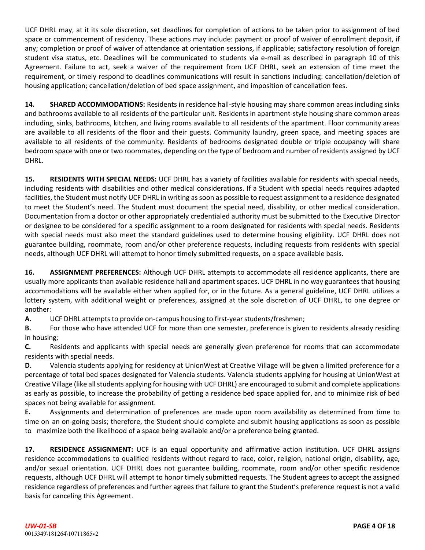UCF DHRL may, at it its sole discretion, set deadlines for completion of actions to be taken prior to assignment of bed space or commencement of residency. These actions may include: payment or proof of waiver of enrollment deposit, if any; completion or proof of waiver of attendance at orientation sessions, if applicable; satisfactory resolution of foreign student visa status, etc. Deadlines will be communicated to students via e-mail as described in paragraph 10 of this Agreement. Failure to act, seek a waiver of the requirement from UCF DHRL, seek an extension of time meet the requirement, or timely respond to deadlines communications will result in sanctions including: cancellation/deletion of housing application; cancellation/deletion of bed space assignment, and imposition of cancellation fees.

**14. SHARED ACCOMMODATIONS:** Residents in residence hall-style housing may share common areas including sinks and bathrooms available to all residents of the particular unit. Residents in apartment‐style housing share common areas including, sinks, bathrooms, kitchen, and living rooms available to all residents of the apartment. Floor community areas are available to all residents of the floor and their guests. Community laundry, green space, and meeting spaces are available to all residents of the community. Residents of bedrooms designated double or triple occupancy will share bedroom space with one or two roommates, depending on the type of bedroom and number of residents assigned by UCF DHRL.

**15. RESIDENTS WITH SPECIAL NEEDS:** UCF DHRL has a variety of facilities available for residents with special needs, including residents with disabilities and other medical considerations. If a Student with special needs requires adapted facilities, the Student must notify UCF DHRL in writing assoon as possible to request assignment to a residence designated to meet the Student's need. The Student must document the special need, disability, or other medical consideration. Documentation from a doctor or other appropriately credentialed authority must be submitted to the Executive Director or designee to be considered for a specific assignment to a room designated for residents with special needs. Residents with special needs must also meet the standard guidelines used to determine housing eligibility. UCF DHRL does not guarantee building, roommate, room and/or other preference requests, including requests from residents with special needs, although UCF DHRL will attempt to honor timely submitted requests, on a space available basis.

**16. ASSIGNMENT PREFERENCES:** Although UCF DHRL attempts to accommodate all residence applicants, there are usually more applicants than available residence hall and apartment spaces. UCF DHRL in no way guarantees that housing accommodations will be available either when applied for, or in the future. As a general guideline, UCF DHRL utilizes a lottery system, with additional weight or preferences, assigned at the sole discretion of UCF DHRL, to one degree or another:

**A.** UCF DHRL attempts to provide on-campus housing to first-year students/freshmen;

**B.** For those who have attended UCF for more than one semester, preference is given to residents already residing in housing;

**C.** Residents and applicants with special needs are generally given preference for rooms that can accommodate residents with special needs.

**D.** Valencia students applying for residency at UnionWest at Creative Village will be given a limited preference for a percentage of total bed spaces designated for Valencia students. Valencia students applying for housing at UnionWest at Creative Village (like all students applying for housing with UCF DHRL) are encouraged to submit and complete applications as early as possible, to increase the probability of getting a residence bed space applied for, and to minimize risk of bed spaces not being available for assignment.

**E.** Assignments and determination of preferences are made upon room availability as determined from time to time on an on-going basis; therefore, the Student should complete and submit housing applications as soon as possible to maximize both the likelihood of a space being available and/or a preference being granted.

**17. RESIDENCE ASSIGNMENT:** UCF is an equal opportunity and affirmative action institution. UCF DHRL assigns residence accommodations to qualified residents without regard to race, color, religion, national origin, disability, age, and/or sexual orientation. UCF DHRL does not guarantee building, roommate, room and/or other specific residence requests, although UCF DHRL will attempt to honor timely submitted requests. The Student agrees to accept the assigned residence regardless of preferences and further agrees that failure to grant the Student's preference request is not a valid basis for canceling this Agreement.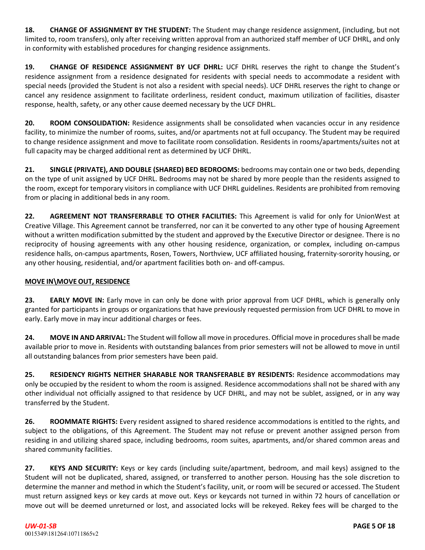**18. CHANGE OF ASSIGNMENT BY THE STUDENT:** The Student may change residence assignment, (including, but not limited to, room transfers), only after receiving written approval from an authorized staff member of UCF DHRL, and only in conformity with established procedures for changing residence assignments.

**19. CHANGE OF RESIDENCE ASSIGNMENT BY UCF DHRL:** UCF DHRL reserves the right to change the Student's residence assignment from a residence designated for residents with special needs to accommodate a resident with special needs (provided the Student is not also a resident with special needs). UCF DHRL reserves the right to change or cancel any residence assignment to facilitate orderliness, resident conduct, maximum utilization of facilities, disaster response, health, safety, or any other cause deemed necessary by the UCF DHRL.

**20. ROOM CONSOLIDATION:** Residence assignments shall be consolidated when vacancies occur in any residence facility, to minimize the number of rooms, suites, and/or apartments not at full occupancy. The Student may be required to change residence assignment and move to facilitate room consolidation. Residents in rooms/apartments/suites not at full capacity may be charged additional rent as determined by UCF DHRL.

**21. SINGLE (PRIVATE), AND DOUBLE (SHARED) BED BEDROOMS:** bedrooms may contain one or two beds, depending on the type of unit assigned by UCF DHRL. Bedrooms may not be shared by more people than the residents assigned to the room, except for temporary visitors in compliance with UCF DHRL guidelines. Residents are prohibited from removing from or placing in additional beds in any room.

**22. AGREEMENT NOT TRANSFERRABLE TO OTHER FACILITIES:** This Agreement is valid for only for UnionWest at Creative Village. This Agreement cannot be transferred, nor can it be converted to any other type of housing Agreement without a written modification submitted by the student and approved by the Executive Director or designee. There is no reciprocity of housing agreements with any other housing residence, organization, or complex, including on-campus residence halls, on‐campus apartments, Rosen, Towers, Northview, UCF affiliated housing, fraternity‐sorority housing, or any other housing, residential, and/or apartment facilities both on- and off-campus.

# **MOVE IN\MOVE OUT, RESIDENCE**

**23. EARLY MOVE IN:** Early move in can only be done with prior approval from UCF DHRL, which is generally only granted for participants in groups or organizations that have previously requested permission from UCF DHRL to move in early. Early move in may incur additional charges or fees.

**24. MOVE IN AND ARRIVAL:** The Student will follow all move in procedures. Official move in proceduresshall be made available prior to move in. Residents with outstanding balances from prior semesters will not be allowed to move in until all outstanding balances from prior semesters have been paid.

**25. RESIDENCY RIGHTS NEITHER SHARABLE NOR TRANSFERABLE BY RESIDENTS:** Residence accommodations may only be occupied by the resident to whom the room is assigned. Residence accommodations shall not be shared with any other individual not officially assigned to that residence by UCF DHRL, and may not be sublet, assigned, or in any way transferred by the Student.

**26. ROOMMATE RIGHTS:** Every resident assigned to shared residence accommodations is entitled to the rights, and subject to the obligations, of this Agreement. The Student may not refuse or prevent another assigned person from residing in and utilizing shared space, including bedrooms, room suites, apartments, and/or shared common areas and shared community facilities.

**27. KEYS AND SECURITY:** Keys or key cards (including suite/apartment, bedroom, and mail keys) assigned to the Student will not be duplicated, shared, assigned, or transferred to another person. Housing has the sole discretion to determine the manner and method in which the Student's facility, unit, or room will be secured or accessed. The Student must return assigned keys or key cards at move out. Keys or keycards not turned in within 72 hours of cancellation or move out will be deemed unreturned or lost, and associated locks will be rekeyed. Rekey fees will be charged to the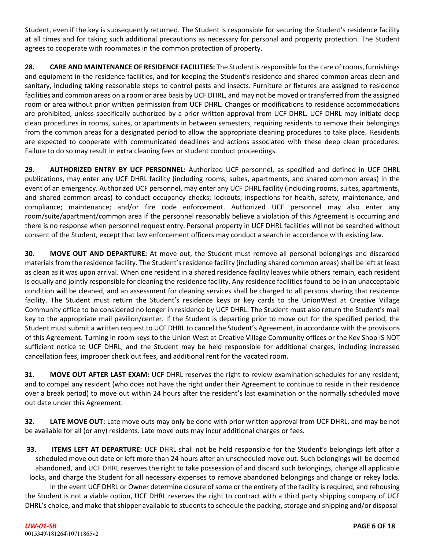Student, even if the key is subsequently returned. The Student is responsible for securing the Student's residence facility at all times and for taking such additional precautions as necessary for personal and property protection. The Student agrees to cooperate with roommates in the common protection of property.

**28. CARE AND MAINTENANCE OF RESIDENCE FACILITIES:** The Student isresponsible for the care ofrooms, furnishings and equipment in the residence facilities, and for keeping the Student's residence and shared common areas clean and sanitary, including taking reasonable steps to control pests and insects. Furniture or fixtures are assigned to residence facilities and common areas on a room or area basis by UCF DHRL, and may not be moved or transferred from the assigned room or area without prior written permission from UCF DHRL. Changes or modifications to residence accommodations are prohibited, unless specifically authorized by a prior written approval from UCF DHRL. UCF DHRL may initiate deep clean procedures in rooms, suites, or apartments in between semesters, requiring residents to remove their belongings from the common areas for a designated period to allow the appropriate cleaning procedures to take place. Residents are expected to cooperate with communicated deadlines and actions associated with these deep clean procedures. Failure to do so may result in extra cleaning fees or student conduct proceedings.

**29. AUTHORIZED ENTRY BY UCF PERSONNEL:** Authorized UCF personnel, as specified and defined in UCF DHRL publications, may enter any UCF DHRL facility (including rooms, suites, apartments, and shared common areas) in the event of an emergency. Authorized UCF personnel, may enter any UCF DHRL facility (including rooms, suites, apartments, and shared common areas) to conduct occupancy checks; lockouts; inspections for health, safety, maintenance, and compliance; maintenance; and/or fire code enforcement. Authorized UCF personnel may also enter any room/suite/apartment/common area if the personnel reasonably believe a violation of this Agreement is occurring and there is no response when personnel request entry. Personal property in UCF DHRL facilities will not be searched without consent of the Student, except that law enforcement officers may conduct a search in accordance with existing law.

**30. MOVE OUT AND DEPARTURE:** At move out, the Student must remove all personal belongings and discarded materials from the residence facility. The Student's residence facility (including shared common areas) shall be left at least as clean as it was upon arrival. When one resident in a shared residence facility leaves while others remain, each resident is equally and jointly responsible for cleaning the residence facility. Any residence facilities found to be in an unacceptable condition will be cleaned, and an assessment for cleaning services shall be charged to all persons sharing that residence facility. The Student must return the Student's residence keys or key cards to the UnionWest at Creative Village Community office to be considered no longer in residence by UCF DHRL. The Student must also return the Student's mail key to the appropriate mail pavilion/center. If the Student is departing prior to move out for the specified period, the Student must submit a written request to UCF DHRL to cancel the Student's Agreement, in accordance with the provisions of this Agreement. Turning in room keys to the Union West at Creative Village Community offices or the Key Shop IS NOT sufficient notice to UCF DHRL, and the Student may be held responsible for additional charges, including increased cancellation fees, improper check out fees, and additional rent for the vacated room.

**31. MOVE OUT AFTER LAST EXAM:** UCF DHRL reserves the right to review examination schedules for any resident, and to compel any resident (who does not have the right under their Agreement to continue to reside in their residence over a break period) to move out within 24 hours after the resident's last examination or the normally scheduled move out date under this Agreement.

**32. LATE MOVE OUT:** Late move outs may only be done with prior written approval from UCF DHRL, and may be not be available for all (or any) residents. Late move outs may incur additional charges or fees.

**33. ITEMS LEFT AT DEPARTURE:** UCF DHRL shall not be held responsible for the Student's belongings left after a scheduled move out date or left more than 24 hours after an unscheduled move out. Such belongings will be deemed abandoned, and UCF DHRL reserves the right to take possession of and discard such belongings, change all applicable locks, and charge the Student for all necessary expenses to remove abandoned belongings and change or rekey locks.

In the event UCF DHRL or Owner determine closure of some or the entirety of the facility is required, and rehousing the Student is not a viable option, UCF DHRL reserves the right to contract with a third party shipping company of UCF DHRL's choice, and make that shipper available to students to schedule the packing, storage and shipping and/or disposal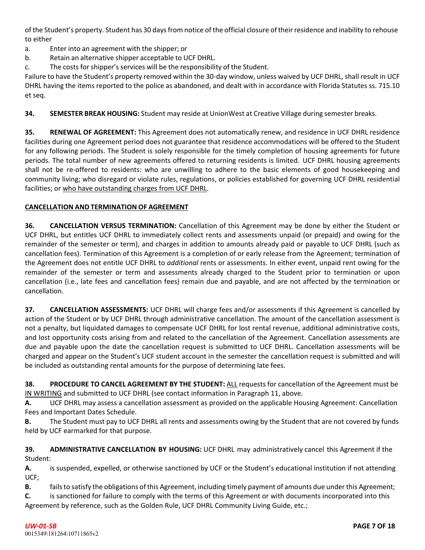of the Student's property. Student has 30 daysfrom notice of the official closure of their residence and inability to rehouse to either

a. Enter into an agreement with the shipper; or

- b. Retain an alternative shipper acceptable to UCF DHRL.
- c. The costs for shipper's services will be the responsibility of the Student.

Failure to have the Student's property removed within the 30‐day window, unless waived by UCF DHRL, shall result in UCF DHRL having the items reported to the police as abandoned, and dealt with in accordance with Florida Statutes ss. 715.10 et seq.

**34. SEMESTER BREAK HOUSING:** Student may reside at UnionWest at Creative Village during semester breaks.

**35. RENEWAL OF AGREEMENT:** This Agreement does not automatically renew, and residence in UCF DHRL residence facilities during one Agreement period does not guarantee that residence accommodations will be offered to the Student for any following periods. The Student is solely responsible for the timely completion of housing agreements for future periods. The total number of new agreements offered to returning residents is limited. UCF DHRL housing agreements shall not be re-offered to residents: who are unwilling to adhere to the basic elements of good housekeeping and community living; who disregard or violate rules, regulations, or policies established for governing UCF DHRL residential facilities; or who have outstanding charges from UCF DHRL.

## **CANCELLATION AND TERMINATION OF AGREEMENT**

**36. CANCELLATION VERSUS TERMINATION:** Cancellation of this Agreement may be done by either the Student or UCF DHRL, but entitles UCF DHRL to immediately collect rents and assessments unpaid (or prepaid) and owing for the remainder of the semester or term), and charges in addition to amounts already paid or payable to UCF DHRL (such as cancellation fees). Termination of this Agreement is a completion of or early release from the Agreement; termination of the Agreement does not entitle UCF DHRL to *additional* rents or assessments. In either event, unpaid rent owing for the remainder of the semester or term and assessments already charged to the Student prior to termination or upon cancellation (i.e., late fees and cancellation fees) remain due and payable, and are not affected by the termination or cancellation.

**37. CANCELLATION ASSESSMENTS:** UCF DHRL will charge fees and/or assessments if this Agreement is cancelled by action of the Student or by UCF DHRL through administrative cancellation. The amount of the cancellation assessment is not a penalty, but liquidated damages to compensate UCF DHRL for lost rental revenue, additional administrative costs, and lost opportunity costs arising from and related to the cancellation of the Agreement. Cancellation assessments are due and payable upon the date the cancellation request is submitted to UCF DHRL. Cancellation assessments will be charged and appear on the Student's UCF student account in the semester the cancellation request is submitted and will be included as outstanding rental amounts for the purpose of determining late fees.

**38. PROCEDURE TO CANCEL AGREEMENT BY THE STUDENT:** ALL requests for cancellation of the Agreement must be IN WRITING and submitted to UCF DHRL (see contact information in Paragraph 11, above.

**A.** UCF DHRL may assess a cancellation assessment as provided on the applicable Housing Agreement: Cancellation Fees and Important Dates Schedule.

**B.** The Student must pay to UCF DHRL all rents and assessments owing by the Student that are not covered by funds held by UCF earmarked for that purpose.

**39. ADMINISTRATIVE CANCELLATION BY HOUSING:** UCF DHRL may administratively cancel this Agreement if the Student:

**A.** is suspended, expelled, or otherwise sanctioned by UCF or the Student's educational institution if not attending UCF;

**B.** fails to satisfy the obligations of this Agreement, including timely payment of amounts due under this Agreement;

**C.** is sanctioned for failure to comply with the terms of this Agreement or with documents incorporated into this Agreement by reference, such as the Golden Rule, UCF DHRL Community Living Guide, etc.;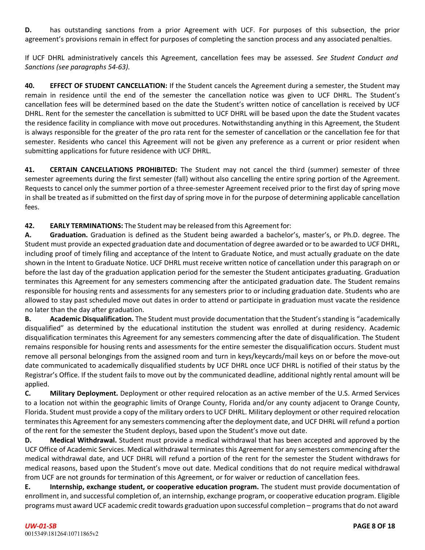**D.** has outstanding sanctions from a prior Agreement with UCF. For purposes of this subsection, the prior agreement's provisions remain in effect for purposes of completing the sanction process and any associated penalties.

If UCF DHRL administratively cancels this Agreement, cancellation fees may be assessed. *See Student Conduct and Sanctions (see paragraphs 54‐63).*

**40. EFFECT OF STUDENT CANCELLATION:** If the Student cancels the Agreement during a semester, the Student may remain in residence until the end of the semester the cancellation notice was given to UCF DHRL. The Student's cancellation fees will be determined based on the date the Student's written notice of cancellation is received by UCF DHRL. Rent for the semester the cancellation is submitted to UCF DHRL will be based upon the date the Student vacates the residence facility in compliance with move out procedures. Notwithstanding anything in this Agreement, the Student is always responsible for the greater of the pro rata rent for the semester of cancellation or the cancellation fee for that semester. Residents who cancel this Agreement will not be given any preference as a current or prior resident when submitting applications for future residence with UCF DHRL.

**41. CERTAIN CANCELLATIONS PROHIBITED:** The Student may not cancel the third (summer) semester of three semester agreements during the first semester (fall) without also cancelling the entire spring portion of the Agreement. Requests to cancel only the summer portion of a three-semester Agreement received prior to the first day of spring move in shall be treated as if submitted on the first day of spring move in for the purpose of determining applicable cancellation fees.

**42. EARLY TERMINATIONS:** The Student may be released from this Agreement for:

**A. Graduation.** Graduation is defined as the Student being awarded a bachelor's, master's, or Ph.D. degree. The Student must provide an expected graduation date and documentation of degree awarded or to be awarded to UCF DHRL, including proof of timely filing and acceptance of the Intent to Graduate Notice, and must actually graduate on the date shown in the Intent to Graduate Notice. UCF DHRL must receive written notice of cancellation under this paragraph on or before the last day of the graduation application period for the semester the Student anticipates graduating. Graduation terminates this Agreement for any semesters commencing after the anticipated graduation date. The Student remains responsible for housing rents and assessments for any semesters prior to or including graduation date. Students who are allowed to stay past scheduled move out dates in order to attend or participate in graduation must vacate the residence no later than the day after graduation.

**B. Academic Disqualification.** The Student must provide documentation that the Student'sstanding is "academically disqualified" as determined by the educational institution the student was enrolled at during residency. Academic disqualification terminates this Agreement for any semesters commencing after the date of disqualification. The Student remains responsible for housing rents and assessments for the entire semester the disqualification occurs. Student must remove all personal belongings from the assigned room and turn in keys/keycards/mail keys on or before the move-out date communicated to academically disqualified students by UCF DHRL once UCF DHRL is notified of their status by the Registrar's Office. If the student fails to move out by the communicated deadline, additional nightly rental amount will be applied.

**C. Military Deployment.** Deployment or other required relocation as an active member of the U.S. Armed Services to a location not within the geographic limits of Orange County, Florida and/or any county adjacent to Orange County, Florida. Student must provide a copy of the military orders to UCF DHRL. Military deployment or other required relocation terminates this Agreement for any semesters commencing after the deployment date, and UCF DHRL will refund a portion of the rent for the semester the Student deploys, based upon the Student's move out date.

**D. Medical Withdrawal.** Student must provide a medical withdrawal that has been accepted and approved by the UCF Office of Academic Services. Medical withdrawal terminates this Agreement for any semesters commencing after the medical withdrawal date, and UCF DHRL will refund a portion of the rent for the semester the Student withdraws for medical reasons, based upon the Student's move out date. Medical conditions that do not require medical withdrawal from UCF are not grounds for termination of this Agreement, or for waiver or reduction of cancellation fees.

**E. Internship, exchange student, or cooperative education program.** The student must provide documentation of enrollment in, and successful completion of, an internship, exchange program, or cooperative education program. Eligible programs must award UCF academic credit towards graduation upon successful completion – programsthat do not award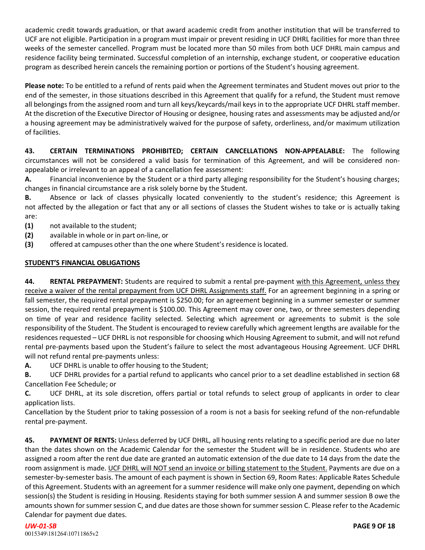academic credit towards graduation, or that award academic credit from another institution that will be transferred to UCF are not eligible. Participation in a program must impair or prevent residing in UCF DHRL facilities for more than three weeks of the semester cancelled. Program must be located more than 50 miles from both UCF DHRL main campus and residence facility being terminated. Successful completion of an internship, exchange student, or cooperative education program as described herein cancels the remaining portion or portions of the Student's housing agreement.

**Please note:** To be entitled to a refund of rents paid when the Agreement terminates and Student moves out prior to the end of the semester, in those situations described in this Agreement that qualify for a refund, the Student must remove all belongings from the assigned room and turn all keys/keycards/mail keys in to the appropriate UCF DHRL staff member. At the discretion of the Executive Director of Housing or designee, housing rates and assessments may be adjusted and/or a housing agreement may be administratively waived for the purpose of safety, orderliness, and/or maximum utilization of facilities.

**43. CERTAIN TERMINATIONS PROHIBITED; CERTAIN CANCELLATIONS NON‐APPEALABLE:** The following circumstances will not be considered a valid basis for termination of this Agreement, and will be considered non‐ appealable or irrelevant to an appeal of a cancellation fee assessment:

**A.** Financial inconvenience by the Student or a third party alleging responsibility for the Student's housing charges; changes in financial circumstance are a risk solely borne by the Student.

**B.** Absence or lack of classes physically located conveniently to the student's residence; this Agreement is not affected by the allegation or fact that any or all sections of classes the Student wishes to take or is actually taking are:

- **(1)** not available to the student;
- **(2)** available in whole or in part on‐line, or
- **(3)** offered at campuses other than the one where Student's residence is located.

# **STUDENT'S FINANCIAL OBLIGATIONS**

**44. RENTAL PREPAYMENT:** Students are required to submit a rental pre‐payment with this Agreement, unless they receive a waiver of the rental prepayment from UCF DHRL Assignments staff. For an agreement beginning in a spring or fall semester, the required rental prepayment is \$250.00; for an agreement beginning in a summer semester or summer session, the required rental prepayment is \$100.00. This Agreement may cover one, two, or three semesters depending on time of year and residence facility selected. Selecting which agreement or agreements to submit is the sole responsibility of the Student. The Student is encouraged to review carefully which agreement lengths are available for the residences requested – UCF DHRL is not responsible for choosing which Housing Agreement to submit, and will not refund rental pre‐payments based upon the Student's failure to select the most advantageous Housing Agreement. UCF DHRL will not refund rental pre-payments unless:

**A.** UCF DHRL is unable to offer housing to the Student;

**B.** UCF DHRL provides for a partial refund to applicants who cancel prior to a set deadline established in section 68 Cancellation Fee Schedule; or

**C.** UCF DHRL, at its sole discretion, offers partial or total refunds to select group of applicants in order to clear application lists.

Cancellation by the Student prior to taking possession of a room is not a basis for seeking refund of the non‐refundable rental pre‐payment.

**45. PAYMENT OF RENTS:** Unless deferred by UCF DHRL, all housing rents relating to a specific period are due no later than the dates shown on the Academic Calendar for the semester the Student will be in residence. Students who are assigned a room after the rent due date are granted an automatic extension of the due date to 14 days from the date the room assignment is made. UCF DHRL will NOT send an invoice or billing statement to the Student. Payments are due on a semester-by-semester basis. The amount of each payment is shown in Section 69, Room Rates: Applicable Rates Schedule of this Agreement. Students with an agreement for a summer residence will make only one payment, depending on which session(s) the Student is residing in Housing. Residents staying for both summer session A and summer session B owe the amounts shown for summer session C, and due dates are those shown for summer session C. Please refer to the Academic Calendar for payment due dates.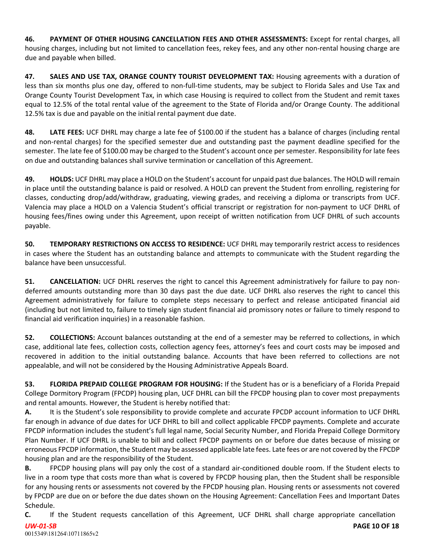**46. PAYMENT OF OTHER HOUSING CANCELLATION FEES AND OTHER ASSESSMENTS:** Except for rental charges, all housing charges, including but not limited to cancellation fees, rekey fees, and any other non-rental housing charge are due and payable when billed.

**47. SALES AND USE TAX, ORANGE COUNTY TOURIST DEVELOPMENT TAX:** Housing agreements with a duration of less than six months plus one day, offered to non-full-time students, may be subject to Florida Sales and Use Tax and Orange County Tourist Development Tax, in which case Housing is required to collect from the Student and remit taxes equal to 12.5% of the total rental value of the agreement to the State of Florida and/or Orange County. The additional 12.5% tax is due and payable on the initial rental payment due date.

**48. LATE FEES:** UCF DHRL may charge a late fee of \$100.00 if the student has a balance of charges (including rental and non‐rental charges) for the specified semester due and outstanding past the payment deadline specified for the semester. The late fee of \$100.00 may be charged to the Student's account once per semester. Responsibility for late fees on due and outstanding balances shall survive termination or cancellation of this Agreement.

**49. HOLDS:** UCF DHRL may place a HOLD on the Student's account for unpaid past due balances. The HOLD will remain in place until the outstanding balance is paid or resolved. A HOLD can prevent the Student from enrolling, registering for classes, conducting drop/add/withdraw, graduating, viewing grades, and receiving a diploma or transcripts from UCF. Valencia may place a HOLD on a Valencia Student's official transcript or registration for non‐payment to UCF DHRL of housing fees/fines owing under this Agreement, upon receipt of written notification from UCF DHRL of such accounts payable.

**50. TEMPORARY RESTRICTIONS ON ACCESS TO RESIDENCE:** UCF DHRL may temporarily restrict access to residences in cases where the Student has an outstanding balance and attempts to communicate with the Student regarding the balance have been unsuccessful.

**51. CANCELLATION:** UCF DHRL reserves the right to cancel this Agreement administratively for failure to pay nondeferred amounts outstanding more than 30 days past the due date. UCF DHRL also reserves the right to cancel this Agreement administratively for failure to complete steps necessary to perfect and release anticipated financial aid (including but not limited to, failure to timely sign student financial aid promissory notes or failure to timely respond to financial aid verification inquiries) in a reasonable fashion.

**52. COLLECTIONS:** Account balances outstanding at the end of a semester may be referred to collections, in which case, additional late fees, collection costs, collection agency fees, attorney's fees and court costs may be imposed and recovered in addition to the initial outstanding balance. Accounts that have been referred to collections are not appealable, and will not be considered by the Housing Administrative Appeals Board.

**53. FLORIDA PREPAID COLLEGE PROGRAM FOR HOUSING:** If the Student has or is a beneficiary of a Florida Prepaid College Dormitory Program (FPCDP) housing plan, UCF DHRL can bill the FPCDP housing plan to cover most prepayments and rental amounts. However, the Student is hereby notified that:

**A.** It is the Student's sole responsibility to provide complete and accurate FPCDP account information to UCF DHRL far enough in advance of due dates for UCF DHRL to bill and collect applicable FPCDP payments. Complete and accurate FPCDP information includes the student's full legal name, Social Security Number, and Florida Prepaid College Dormitory Plan Number. If UCF DHRL is unable to bill and collect FPCDP payments on or before due dates because of missing or erroneous FPCDP information, the Student may be assessed applicable late fees. Late fees or are not covered by the FPCDP housing plan and are the responsibility of the Student.

**B.** FPCDP housing plans will pay only the cost of a standard air‐conditioned double room. If the Student elects to live in a room type that costs more than what is covered by FPCDP housing plan, then the Student shall be responsible for any housing rents or assessments not covered by the FPCDP housing plan. Housing rents or assessments not covered by FPCDP are due on or before the due dates shown on the Housing Agreement: Cancellation Fees and Important Dates Schedule.

*UW‐01‐SB* **C.** If the Student requests cancellation of this Agreement, UCF DHRL shall charge appropriate cancellation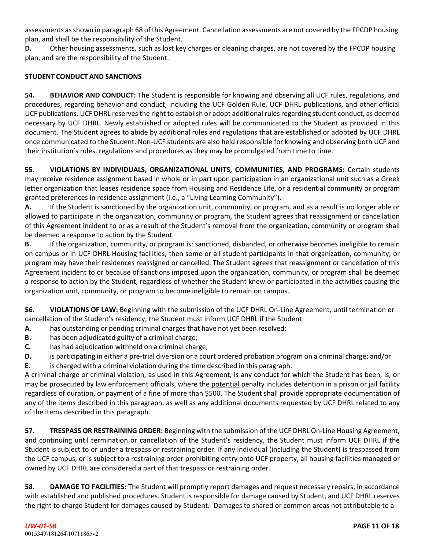assessments asshown in paragraph 68 of this Agreement. Cancellation assessments are not covered by the FPCDP housing plan, and shall be the responsibility of the Student.

**D.** Other housing assessments, such as lost key charges or cleaning charges, are not covered by the FPCDP housing plan, and are the responsibility of the Student.

#### **STUDENT CONDUCT AND SANCTIONS**

**54. BEHAVIOR AND CONDUCT:** The Student is responsible for knowing and observing all UCF rules, regulations, and procedures, regarding behavior and conduct, including the UCF Golden Rule, UCF DHRL publications, and other official UCF publications. UCF DHRL reserves the right to establish or adopt additional rulesregarding student conduct, as deemed necessary by UCF DHRL. Newly established or adopted rules will be communicated to the Student as provided in this document. The Student agrees to abide by additional rules and regulations that are established or adopted by UCF DHRL once communicated to the Student. Non‐UCF students are also held responsible for knowing and observing both UCF and their institution's rules, regulations and procedures as they may be promulgated from time to time.

**55. VIOLATIONS BY INDIVIDUALS, ORGANIZATIONAL UNITS, COMMUNITIES, AND PROGRAMS:** Certain students may receive residence assignment based in whole or in part upon participation in an organizational unit such as a Greek letter organization that leases residence space from Housing and Residence Life, or a residential community or program granted preferences in residence assignment (i.e., a "Living Learning Community").

**A.** If the Student is sanctioned by the organization unit, community, or program, and as a result is no longer able or allowed to participate in the organization, community or program, the Student agrees that reassignment or cancellation of this Agreement incident to or as a result of the Student's removal from the organization, community or program shall be deemed a response to action by the Student.

**B.** If the organization, community, or program is: sanctioned, disbanded, or otherwise becomes ineligible to remain on campus or in UCF DHRL Housing facilities, then some or all student participants in that organization, community, or program may have their residences reassigned or cancelled. The Student agrees that reassignment or cancellation of this Agreement incident to or because of sanctions imposed upon the organization, community, or program shall be deemed a response to action by the Student, regardless of whether the Student knew or participated in the activities causing the organization unit, community, or program to become ineligible to remain on campus.

**56. VIOLATIONS OF LAW:** Beginning with the submission of the UCF DHRL On‐Line Agreement, until termination or cancellation of the Student's residency, the Student must inform UCF DHRL if the Student:

- **A.** has outstanding or pending criminal charges that have not yet been resolved;
- **B.** has been adjudicated guilty of a criminal charge;
- **C.** has had adjudication withheld on a criminal charge;
- **D.** is participating in either a pre-trial diversion or a court ordered probation program on a criminal charge; and/or
- **E.** is charged with a criminal violation during the time described in this paragraph.

A criminal charge or criminal violation, as used in this Agreement, is any conduct for which the Student has been, is, or may be prosecuted by law enforcement officials, where the potential penalty includes detention in a prison or jail facility regardless of duration, or payment of a fine of more than \$500. The Student shall provide appropriate documentation of any of the items described in this paragraph, as well as any additional documents requested by UCF DHRL related to any of the items described in this paragraph.

**57. TRESPASS OR RESTRAINING ORDER:** Beginning with the submission of the UCF DHRL On‐Line Housing Agreement, and continuing until termination or cancellation of the Student's residency, the Student must inform UCF DHRL if the Student is subject to or under a trespass or restraining order. If any individual (including the Student) is trespassed from the UCF campus, or is subject to a restraining order prohibiting entry onto UCF property, all housing facilities managed or owned by UCF DHRL are considered a part of that trespass or restraining order.

**58. DAMAGE TO FACILITIES:** The Student will promptly report damages and request necessary repairs, in accordance with established and published procedures. Student is responsible for damage caused by Student, and UCF DHRL reserves the right to charge Student for damages caused by Student. Damages to shared or common areas not attributable to a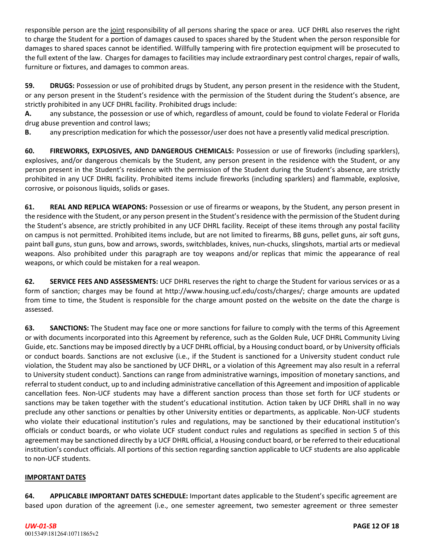responsible person are the joint responsibility of all persons sharing the space or area. UCF DHRL also reserves the right to charge the Student for a portion of damages caused to spaces shared by the Student when the person responsible for damages to shared spaces cannot be identified. Willfully tampering with fire protection equipment will be prosecuted to the full extent of the law. Charges for damages to facilities may include extraordinary pest control charges, repair of walls, furniture or fixtures, and damages to common areas.

**59. DRUGS:** Possession or use of prohibited drugs by Student, any person present in the residence with the Student, or any person present in the Student's residence with the permission of the Student during the Student's absence, are strictly prohibited in any UCF DHRL facility. Prohibited drugs include:

**A.** any substance, the possession or use of which, regardless of amount, could be found to violate Federal or Florida drug abuse prevention and control laws;

**B.** any prescription medication for which the possessor/user does not have a presently valid medical prescription.

**60. FIREWORKS, EXPLOSIVES, AND DANGEROUS CHEMICALS:** Possession or use of fireworks (including sparklers), explosives, and/or dangerous chemicals by the Student, any person present in the residence with the Student, or any person present in the Student's residence with the permission of the Student during the Student's absence, are strictly prohibited in any UCF DHRL facility. Prohibited items include fireworks (including sparklers) and flammable, explosive, corrosive, or poisonous liquids, solids or gases.

**61. REAL AND REPLICA WEAPONS:** Possession or use of firearms or weapons, by the Student, any person present in the residence with the Student, or any person present in the Student's residence with the permission of the Student during the Student's absence, are strictly prohibited in any UCF DHRL facility. Receipt of these items through any postal facility on campus is not permitted. Prohibited items include, but are not limited to firearms, BB guns, pellet guns, air soft guns, paint ball guns, stun guns, bow and arrows, swords, switchblades, knives, nun‐chucks, slingshots, martial arts or medieval weapons. Also prohibited under this paragraph are toy weapons and/or replicas that mimic the appearance of real weapons, or which could be mistaken for a real weapon.

**62. SERVICE FEES AND ASSESSMENTS:** UCF DHRL reserves the right to charge the Student for various services or as a form of sanction; charges may be found at [http://www.housing.ucf.edu/costs/charges/;](http://www.housing.ucf.edu/costs/charges/%3B) charge amounts are updated from time to time, the Student is responsible for the charge amount posted on the website on the date the charge is assessed.

**63. SANCTIONS:** The Student may face one or more sanctions for failure to comply with the terms of this Agreement or with documents incorporated into this Agreement by reference, such as the Golden Rule, UCF DHRL Community Living Guide, etc. Sanctions may be imposed directly by a UCF DHRL official, by a Housing conduct board, or by University officials or conduct boards. Sanctions are not exclusive (i.e., if the Student is sanctioned for a University student conduct rule violation, the Student may also be sanctioned by UCF DHRL, or a violation of this Agreement may also result in a referral to University student conduct). Sanctions can range from administrative warnings, imposition of monetary sanctions, and referral to student conduct, up to and including administrative cancellation of this Agreement and imposition of applicable cancellation fees. Non‐UCF students may have a different sanction process than those set forth for UCF students or sanctions may be taken together with the student's educational institution. Action taken by UCF DHRL shall in no way preclude any other sanctions or penalties by other University entities or departments, as applicable. Non‐UCF students who violate their educational institution's rules and regulations, may be sanctioned by their educational institution's officials or conduct boards, or who violate UCF student conduct rules and regulations as specified in section 5 of this agreement may be sanctioned directly by a UCF DHRL official, a Housing conduct board, or be referred to their educational institution's conduct officials. All portions of this section regarding sanction applicable to UCF students are also applicable to non‐UCF students.

## **IMPORTANT DATES**

**64. APPLICABLE IMPORTANT DATES SCHEDULE:** Important dates applicable to the Student's specific agreement are based upon duration of the agreement (i.e., one semester agreement, two semester agreement or three semester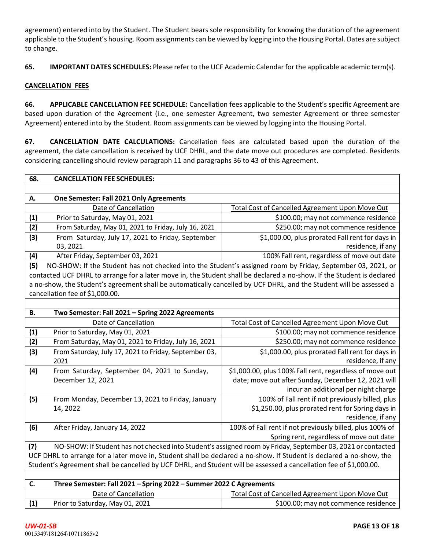agreement) entered into by the Student. The Student bears sole responsibility for knowing the duration of the agreement applicable to the Student's housing. Room assignments can be viewed by logging into the Housing Portal. Dates are subject to change.

**65. IMPORTANT DATES SCHEDULES:** Please refer to the UCF Academic Calendar for the applicable academic term(s).

#### **CANCELLATION FEES**

**66. APPLICABLE CANCELLATION FEE SCHEDULE:** Cancellation fees applicable to the Student's specific Agreement are based upon duration of the Agreement (i.e., one semester Agreement, two semester Agreement or three semester Agreement) entered into by the Student. Room assignments can be viewed by logging into the Housing Portal.

**67. CANCELLATION DATE CALCULATIONS:** Cancellation fees are calculated based upon the duration of the agreement, the date cancellation is received by UCF DHRL, and the date move out procedures are completed. Residents considering cancelling should review paragraph 11 and paragraphs 36 to 43 of this Agreement.

| 68.                                                                                                                 | <b>CANCELLATION FEE SCHEDULES:</b>                                                                                     |                                                          |  |  |  |  |  |
|---------------------------------------------------------------------------------------------------------------------|------------------------------------------------------------------------------------------------------------------------|----------------------------------------------------------|--|--|--|--|--|
|                                                                                                                     |                                                                                                                        |                                                          |  |  |  |  |  |
| А.                                                                                                                  | One Semester: Fall 2021 Only Agreements                                                                                |                                                          |  |  |  |  |  |
|                                                                                                                     | Date of Cancellation<br><b>Total Cost of Cancelled Agreement Upon Move Out</b>                                         |                                                          |  |  |  |  |  |
| (1)                                                                                                                 | Prior to Saturday, May 01, 2021                                                                                        | \$100.00; may not commence residence                     |  |  |  |  |  |
| (2)                                                                                                                 | From Saturday, May 01, 2021 to Friday, July 16, 2021                                                                   | \$250.00; may not commence residence                     |  |  |  |  |  |
| (3)                                                                                                                 | From Saturday, July 17, 2021 to Friday, September                                                                      | \$1,000.00, plus prorated Fall rent for days in          |  |  |  |  |  |
|                                                                                                                     | 03, 2021                                                                                                               | residence, if any                                        |  |  |  |  |  |
| (4)                                                                                                                 | After Friday, September 03, 2021                                                                                       | 100% Fall rent, regardless of move out date              |  |  |  |  |  |
| (5)                                                                                                                 | NO-SHOW: If the Student has not checked into the Student's assigned room by Friday, September 03, 2021, or             |                                                          |  |  |  |  |  |
|                                                                                                                     | contacted UCF DHRL to arrange for a later move in, the Student shall be declared a no-show. If the Student is declared |                                                          |  |  |  |  |  |
|                                                                                                                     | a no-show, the Student's agreement shall be automatically cancelled by UCF DHRL, and the Student will be assessed a    |                                                          |  |  |  |  |  |
|                                                                                                                     | cancellation fee of \$1,000.00.                                                                                        |                                                          |  |  |  |  |  |
|                                                                                                                     |                                                                                                                        |                                                          |  |  |  |  |  |
| <b>B.</b>                                                                                                           | Two Semester: Fall 2021 - Spring 2022 Agreements                                                                       |                                                          |  |  |  |  |  |
|                                                                                                                     | Date of Cancellation                                                                                                   | Total Cost of Cancelled Agreement Upon Move Out          |  |  |  |  |  |
| (1)                                                                                                                 | Prior to Saturday, May 01, 2021                                                                                        | \$100.00; may not commence residence                     |  |  |  |  |  |
| (2)                                                                                                                 | From Saturday, May 01, 2021 to Friday, July 16, 2021                                                                   | \$250.00; may not commence residence                     |  |  |  |  |  |
| (3)                                                                                                                 | From Saturday, July 17, 2021 to Friday, September 03,                                                                  | \$1,000.00, plus prorated Fall rent for days in          |  |  |  |  |  |
|                                                                                                                     | 2021                                                                                                                   | residence, if any                                        |  |  |  |  |  |
| (4)                                                                                                                 | From Saturday, September 04, 2021 to Sunday,                                                                           | \$1,000.00, plus 100% Fall rent, regardless of move out  |  |  |  |  |  |
|                                                                                                                     | December 12, 2021                                                                                                      | date; move out after Sunday, December 12, 2021 will      |  |  |  |  |  |
|                                                                                                                     |                                                                                                                        | incur an additional per night charge                     |  |  |  |  |  |
| (5)                                                                                                                 | From Monday, December 13, 2021 to Friday, January                                                                      | 100% of Fall rent if not previously billed, plus         |  |  |  |  |  |
|                                                                                                                     | 14, 2022                                                                                                               | \$1,250.00, plus prorated rent for Spring days in        |  |  |  |  |  |
|                                                                                                                     |                                                                                                                        | residence, if any                                        |  |  |  |  |  |
| (6)                                                                                                                 | After Friday, January 14, 2022                                                                                         | 100% of Fall rent if not previously billed, plus 100% of |  |  |  |  |  |
|                                                                                                                     |                                                                                                                        | Spring rent, regardless of move out date                 |  |  |  |  |  |
|                                                                                                                     | NO-SHOW: If Student has not checked into Student's assigned room by Friday, September 03, 2021 or contacted<br>(7)     |                                                          |  |  |  |  |  |
| UCF DHRL to arrange for a later move in, Student shall be declared a no-show. If Student is declared a no-show, the |                                                                                                                        |                                                          |  |  |  |  |  |
| Student's Agreement shall be cancelled by UCF DHRL, and Student will be assessed a cancellation fee of \$1,000.00.  |                                                                                                                        |                                                          |  |  |  |  |  |
|                                                                                                                     |                                                                                                                        |                                                          |  |  |  |  |  |
| C.                                                                                                                  | Three Semester: Fall 2021 - Spring 2022 - Summer 2022 C Agreements                                                     |                                                          |  |  |  |  |  |
|                                                                                                                     | Date of Cancellation                                                                                                   | <b>Total Cost of Cancelled Agreement Upon Move Out</b>   |  |  |  |  |  |
| (1)                                                                                                                 | Prior to Saturday, May 01, 2021                                                                                        | \$100.00; may not commence residence                     |  |  |  |  |  |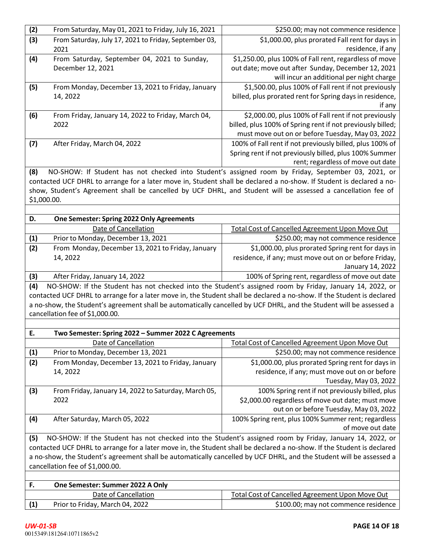| (2)                                                                                                                    | From Saturday, May 01, 2021 to Friday, July 16, 2021                                                                   | \$250.00; may not commence residence                                                               |  |  |  |  |
|------------------------------------------------------------------------------------------------------------------------|------------------------------------------------------------------------------------------------------------------------|----------------------------------------------------------------------------------------------------|--|--|--|--|
| (3)                                                                                                                    | From Saturday, July 17, 2021 to Friday, September 03,<br>2021                                                          | \$1,000.00, plus prorated Fall rent for days in<br>residence, if any                               |  |  |  |  |
| (4)                                                                                                                    | From Saturday, September 04, 2021 to Sunday,                                                                           | \$1,250.00, plus 100% of Fall rent, regardless of move                                             |  |  |  |  |
|                                                                                                                        | December 12, 2021                                                                                                      | out date; move out after Sunday, December 12, 2021                                                 |  |  |  |  |
|                                                                                                                        |                                                                                                                        | will incur an additional per night charge                                                          |  |  |  |  |
| (5)                                                                                                                    | From Monday, December 13, 2021 to Friday, January                                                                      | \$1,500.00, plus 100% of Fall rent if not previously                                               |  |  |  |  |
|                                                                                                                        | 14, 2022                                                                                                               | billed, plus prorated rent for Spring days in residence,                                           |  |  |  |  |
|                                                                                                                        |                                                                                                                        | if any                                                                                             |  |  |  |  |
| (6)                                                                                                                    | From Friday, January 14, 2022 to Friday, March 04,                                                                     | \$2,000.00, plus 100% of Fall rent if not previously                                               |  |  |  |  |
|                                                                                                                        | 2022                                                                                                                   | billed, plus 100% of Spring rent if not previously billed;                                         |  |  |  |  |
|                                                                                                                        |                                                                                                                        | must move out on or before Tuesday, May 03, 2022                                                   |  |  |  |  |
| (7)                                                                                                                    | After Friday, March 04, 2022                                                                                           | 100% of Fall rent if not previously billed, plus 100% of                                           |  |  |  |  |
|                                                                                                                        |                                                                                                                        | Spring rent if not previously billed, plus 100% Summer                                             |  |  |  |  |
|                                                                                                                        |                                                                                                                        | rent; regardless of move out date                                                                  |  |  |  |  |
| (8)                                                                                                                    |                                                                                                                        | NO-SHOW: If Student has not checked into Student's assigned room by Friday, September 03, 2021, or |  |  |  |  |
|                                                                                                                        | contacted UCF DHRL to arrange for a later move in, Student shall be declared a no-show. If Student is declared a no-   |                                                                                                    |  |  |  |  |
|                                                                                                                        | show, Student's Agreement shall be cancelled by UCF DHRL, and Student will be assessed a cancellation fee of           |                                                                                                    |  |  |  |  |
| \$1,000.00.                                                                                                            |                                                                                                                        |                                                                                                    |  |  |  |  |
|                                                                                                                        |                                                                                                                        |                                                                                                    |  |  |  |  |
| D.                                                                                                                     | One Semester: Spring 2022 Only Agreements                                                                              |                                                                                                    |  |  |  |  |
|                                                                                                                        | Date of Cancellation                                                                                                   | <b>Total Cost of Cancelled Agreement Upon Move Out</b>                                             |  |  |  |  |
| (1)                                                                                                                    | Prior to Monday, December 13, 2021                                                                                     | \$250.00; may not commence residence                                                               |  |  |  |  |
| (2)                                                                                                                    | From Monday, December 13, 2021 to Friday, January                                                                      | \$1,000.00, plus prorated Spring rent for days in                                                  |  |  |  |  |
|                                                                                                                        | 14, 2022                                                                                                               | residence, if any; must move out on or before Friday,<br>January 14, 2022                          |  |  |  |  |
| (3)                                                                                                                    | After Friday, January 14, 2022                                                                                         | 100% of Spring rent, regardless of move out date                                                   |  |  |  |  |
| (4)                                                                                                                    | NO-SHOW: If the Student has not checked into the Student's assigned room by Friday, January 14, 2022, or               |                                                                                                    |  |  |  |  |
|                                                                                                                        | contacted UCF DHRL to arrange for a later move in, the Student shall be declared a no-show. If the Student is declared |                                                                                                    |  |  |  |  |
|                                                                                                                        | a no-show, the Student's agreement shall be automatically cancelled by UCF DHRL, and the Student will be assessed a    |                                                                                                    |  |  |  |  |
|                                                                                                                        | cancellation fee of \$1,000.00.                                                                                        |                                                                                                    |  |  |  |  |
|                                                                                                                        |                                                                                                                        |                                                                                                    |  |  |  |  |
| Ε.                                                                                                                     | Two Semester: Spring 2022 - Summer 2022 C Agreements                                                                   |                                                                                                    |  |  |  |  |
|                                                                                                                        | Date of Cancellation                                                                                                   | <b>Total Cost of Cancelled Agreement Upon Move Out</b>                                             |  |  |  |  |
| (1)                                                                                                                    | Prior to Monday, December 13, 2021                                                                                     | \$250.00; may not commence residence                                                               |  |  |  |  |
| (2)                                                                                                                    | From Monday, December 13, 2021 to Friday, January                                                                      | \$1,000.00, plus prorated Spring rent for days in                                                  |  |  |  |  |
|                                                                                                                        | 14, 2022                                                                                                               | residence, if any; must move out on or before                                                      |  |  |  |  |
|                                                                                                                        |                                                                                                                        | Tuesday, May 03, 2022                                                                              |  |  |  |  |
| (3)                                                                                                                    | From Friday, January 14, 2022 to Saturday, March 05,                                                                   | 100% Spring rent if not previously billed, plus                                                    |  |  |  |  |
|                                                                                                                        | 2022                                                                                                                   | \$2,000.00 regardless of move out date; must move                                                  |  |  |  |  |
|                                                                                                                        |                                                                                                                        | out on or before Tuesday, May 03, 2022                                                             |  |  |  |  |
| (4)                                                                                                                    | After Saturday, March 05, 2022                                                                                         | 100% Spring rent, plus 100% Summer rent; regardless                                                |  |  |  |  |
|                                                                                                                        |                                                                                                                        | of move out date                                                                                   |  |  |  |  |
| (5)                                                                                                                    | NO-SHOW: If the Student has not checked into the Student's assigned room by Friday, January 14, 2022, or               |                                                                                                    |  |  |  |  |
| contacted UCF DHRL to arrange for a later move in, the Student shall be declared a no-show. If the Student is declared |                                                                                                                        |                                                                                                    |  |  |  |  |
| a no-show, the Student's agreement shall be automatically cancelled by UCF DHRL, and the Student will be assessed a    |                                                                                                                        |                                                                                                    |  |  |  |  |
| cancellation fee of \$1,000.00.                                                                                        |                                                                                                                        |                                                                                                    |  |  |  |  |
|                                                                                                                        |                                                                                                                        |                                                                                                    |  |  |  |  |
| F.                                                                                                                     | One Semester: Summer 2022 A Only                                                                                       |                                                                                                    |  |  |  |  |
|                                                                                                                        | Date of Cancellation                                                                                                   | Total Cost of Cancelled Agreement Upon Move Out                                                    |  |  |  |  |
| (1)                                                                                                                    | Prior to Friday, March 04, 2022                                                                                        | \$100.00; may not commence residence                                                               |  |  |  |  |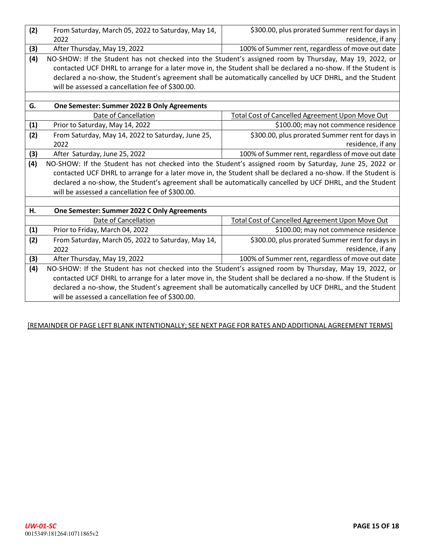| (2) | From Saturday, March 05, 2022 to Saturday, May 14,                                                            | \$300.00, plus prorated Summer rent for days in                                                               |  |  |  |
|-----|---------------------------------------------------------------------------------------------------------------|---------------------------------------------------------------------------------------------------------------|--|--|--|
|     | 2022                                                                                                          | residence, if any                                                                                             |  |  |  |
| (3) | After Thursday, May 19, 2022                                                                                  | 100% of Summer rent, regardless of move out date                                                              |  |  |  |
| (4) | NO-SHOW: If the Student has not checked into the Student's assigned room by Thursday, May 19, 2022, or        |                                                                                                               |  |  |  |
|     |                                                                                                               | contacted UCF DHRL to arrange for a later move in, the Student shall be declared a no-show. If the Student is |  |  |  |
|     | declared a no-show, the Student's agreement shall be automatically cancelled by UCF DHRL, and the Student     |                                                                                                               |  |  |  |
|     | will be assessed a cancellation fee of \$300.00.                                                              |                                                                                                               |  |  |  |
|     |                                                                                                               |                                                                                                               |  |  |  |
| G.  | One Semester: Summer 2022 B Only Agreements                                                                   |                                                                                                               |  |  |  |
|     | Date of Cancellation                                                                                          | Total Cost of Cancelled Agreement Upon Move Out                                                               |  |  |  |
| (1) | Prior to Saturday, May 14, 2022                                                                               | \$100.00; may not commence residence                                                                          |  |  |  |
| (2) | From Saturday, May 14, 2022 to Saturday, June 25,                                                             | \$300.00, plus prorated Summer rent for days in                                                               |  |  |  |
|     | 2022                                                                                                          | residence, if any                                                                                             |  |  |  |
| (3) | After Saturday, June 25, 2022                                                                                 | 100% of Summer rent, regardless of move out date                                                              |  |  |  |
| (4) | NO-SHOW: If the Student has not checked into the Student's assigned room by Saturday, June 25, 2022 or        |                                                                                                               |  |  |  |
|     | contacted UCF DHRL to arrange for a later move in, the Student shall be declared a no-show. If the Student is |                                                                                                               |  |  |  |
|     |                                                                                                               | declared a no-show, the Student's agreement shall be automatically cancelled by UCF DHRL, and the Student     |  |  |  |
|     | will be assessed a cancellation fee of \$300.00.                                                              |                                                                                                               |  |  |  |
|     |                                                                                                               |                                                                                                               |  |  |  |
| Η.  | One Semester: Summer 2022 C Only Agreements                                                                   |                                                                                                               |  |  |  |
|     | Date of Cancellation                                                                                          | <b>Total Cost of Cancelled Agreement Upon Move Out</b>                                                        |  |  |  |
| (1) | Prior to Friday, March 04, 2022                                                                               | \$100.00; may not commence residence                                                                          |  |  |  |
| (2) | From Saturday, March 05, 2022 to Saturday, May 14,                                                            | \$300.00, plus prorated Summer rent for days in                                                               |  |  |  |
|     | 2022                                                                                                          | residence, if any                                                                                             |  |  |  |
| (3) | After Thursday, May 19, 2022                                                                                  | 100% of Summer rent, regardless of move out date                                                              |  |  |  |
| (4) |                                                                                                               | NO-SHOW: If the Student has not checked into the Student's assigned room by Thursday, May 19, 2022, or        |  |  |  |
|     | contacted UCF DHRL to arrange for a later move in, the Student shall be declared a no-show. If the Student is |                                                                                                               |  |  |  |
|     | declared a no-show, the Student's agreement shall be automatically cancelled by UCF DHRL, and the Student     |                                                                                                               |  |  |  |
|     | will be assessed a cancellation fee of \$300.00.                                                              |                                                                                                               |  |  |  |
|     |                                                                                                               |                                                                                                               |  |  |  |

## [REMAINDER OF PAGE LEFT BLANK INTENTIONALLY; SEE NEXT PAGE FOR RATES AND ADDITIONAL AGREEMENT TERMS]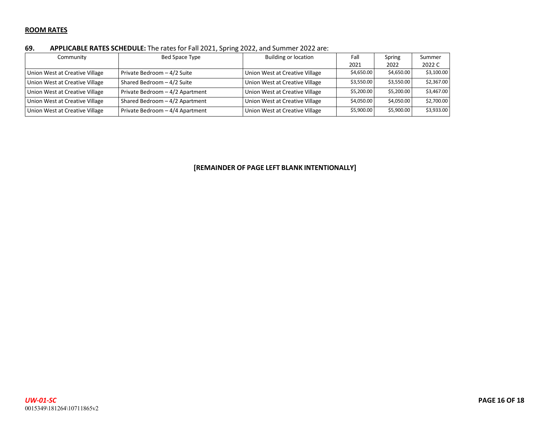#### **ROOM RATES**

#### **69. APPLICABLE RATES SCHEDULE:** The ratesfor Fall 2021, Spring 2022, and Summer 2022 are:

| Community                      | Bed Space Type                  | <b>Building or location</b>    | Fall       | Spring     | Summer     |
|--------------------------------|---------------------------------|--------------------------------|------------|------------|------------|
|                                |                                 |                                | 2021       | 2022       | 2022 C     |
| Union West at Creative Village | Private Bedroom - 4/2 Suite     | Union West at Creative Village | \$4,650.00 | \$4,650.00 | \$3,100.00 |
| Union West at Creative Village | Shared Bedroom - 4/2 Suite      | Union West at Creative Village | \$3,550.00 | \$3,550.00 | \$2,367.00 |
| Union West at Creative Village | Private Bedroom - 4/2 Apartment | Union West at Creative Village | \$5,200.00 | \$5,200.00 | \$3,467.00 |
| Union West at Creative Village | Shared Bedroom - 4/2 Apartment  | Union West at Creative Village | \$4,050.00 | \$4,050.00 | \$2,700.00 |
| Union West at Creative Village | Private Bedroom - 4/4 Apartment | Union West at Creative Village | \$5,900.00 | \$5,900.00 | \$3,933.00 |

#### **[REMAINDER OF PAGE LEFT BLANK INTENTIONALLY]**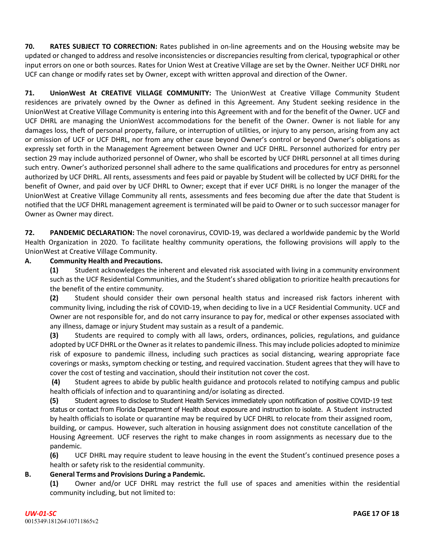**70. RATES SUBJECT TO CORRECTION:** Rates published in on‐line agreements and on the Housing website may be updated or changed to address and resolve inconsistencies or discrepancies resulting from clerical, typographical or other input errors on one or both sources. Rates for Union West at Creative Village are set by the Owner. Neither UCF DHRL nor UCF can change or modify rates set by Owner, except with written approval and direction of the Owner.

**71. UnionWest At CREATIVE VILLAGE COMMUNITY:** The UnionWest at Creative Village Community Student residences are privately owned by the Owner as defined in this Agreement. Any Student seeking residence in the UnionWest at Creative Village Community is entering into this Agreement with and for the benefit of the Owner. UCF and UCF DHRL are managing the UnionWest accommodations for the benefit of the Owner. Owner is not liable for any damages loss, theft of personal property, failure, or interruption of utilities, or injury to any person, arising from any act or omission of UCF or UCF DHRL, nor from any other cause beyond Owner's control or beyond Owner's obligations as expressly set forth in the Management Agreement between Owner and UCF DHRL. Personnel authorized for entry per section 29 may include authorized personnel of Owner, who shall be escorted by UCF DHRL personnel at all times during such entry. Owner's authorized personnel shall adhere to the same qualifications and procedures for entry as personnel authorized by UCF DHRL. All rents, assessments and fees paid or payable by Student will be collected by UCF DHRL for the benefit of Owner, and paid over by UCF DHRL to Owner; except that if ever UCF DHRL is no longer the manager of the UnionWest at Creative Village Community all rents, assessments and fees becoming due after the date that Student is notified that the UCF DHRL management agreement is terminated will be paid to Owner or to such successor manager for Owner as Owner may direct.

**72. PANDEMIC DECLARATION:** The novel coronavirus, COVID‐19, was declared a worldwide pandemic by the World Health Organization in 2020. To facilitate healthy community operations, the following provisions will apply to the UnionWest at Creative Village Community.

## **A. Community Health and Precautions.**

**(1)** Student acknowledges the inherent and elevated risk associated with living in a community environment such as the UCF Residential Communities, and the Student's shared obligation to prioritize health precautions for the benefit of the entire community.

**(2)** Student should consider their own personal health status and increased risk factors inherent with community living, including the risk of COVID‐19, when deciding to live in a UCF Residential Community. UCF and Owner are not responsible for, and do not carry insurance to pay for, medical or other expenses associated with any illness, damage or injury Student may sustain as a result of a pandemic.

**(3)** Students are required to comply with all laws, orders, ordinances, policies, regulations, and guidance adopted by UCF DHRL or the Owner as it relates to pandemic illness. This may include policies adopted to minimize risk of exposure to pandemic illness, including such practices as social distancing, wearing appropriate face coverings or masks, symptom checking or testing, and required vaccination. Student agrees that they will have to cover the cost of testing and vaccination, should their institution not cover the cost.

**(4)** Student agrees to abide by public health guidance and protocols related to notifying campus and public health officials of infection and to quarantining and/or isolating as directed.

**(5)** Student agrees to disclose to Student Health Services immediately upon notification of positive COVID-19 test status or contact from Florida Department of Health about exposure and instruction to isolate. A Student instructed by health officials to isolate or quarantine may be required by UCF DHRL to relocate from their assigned room, building, or campus. However, such alteration in housing assignment does not constitute cancellation of the Housing Agreement. UCF reserves the right to make changes in room assignments as necessary due to the pandemic.

**(6)** UCF DHRL may require student to leave housing in the event the Student's continued presence poses a health or safety risk to the residential community.

## **B. General Terms and Provisions During a Pandemic.**

**(1)** Owner and/or UCF DHRL may restrict the full use of spaces and amenities within the residential community including, but not limited to: